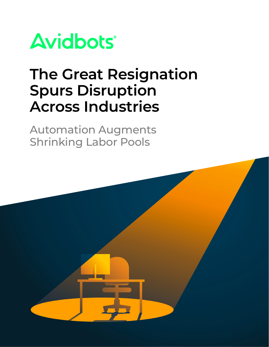

# **The Great Resignation Spurs Disruption Across Industries**

Automation Augments Shrinking Labor Pools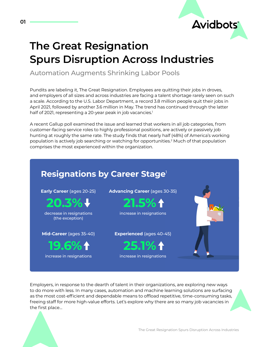## **The Great Resignation Spurs Disruption Across Industries**

Automation Augments Shrinking Labor Pools

Pundits are labeling it, The Great Resignation. Employees are quitting their jobs in droves, and employers of all sizes and across industries are facing a talent shortage rarely seen on such a scale. According to the U.S. Labor Department, a record 3.8 million people quit their jobs in April 2021, followed by another 3.6 million in May. The trend has continued through the latter half of 2021, representing a 20-year peak in job vacancies.<sup>1</sup>

A recent Gallup poll examined the issue and learned that workers in all job categories, from customer-facing service roles to highly professional positions, are actively or passively job hunting at roughly the same rate. The study finds that nearly half (48%) of America's working population is actively job searching or watching for opportunities.2 Much of that population comprises the most experienced within the organization.



Employers, in response to the dearth of talent in their organizations, are exploring new ways to do more with less. In many cases, automation and machine learning solutions are surfacing as the most cost-efficient and dependable means to offload repetitive, time-consuming tasks, freeing staff for more high-value efforts. Let's explore why there are so many job vacancies in the first place…

**Avidbots**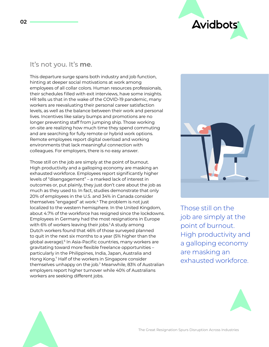

## It's not you. It's **me**.

This departure surge spans both industry and job function, hinting at deeper social motivations at work among employees of all collar colors. Human resources professionals, their schedules filled with exit interviews, have some insights. HR tells us that in the wake of the COVID-19 pandemic, many workers are reevaluating their personal career satisfaction levels, as well as the balance between their work and personal lives. Incentives like salary bumps and promotions are no longer preventing staff from jumping ship. Those working on-site are realizing how much time they spend commuting and are searching for fully remote or hybrid work options. Remote employees report digital overload and working environments that lack meaningful connection with colleagues. For employers, there is no easy answer.

Those still on the job are simply at the point of burnout. High productivity and a galloping economy are masking an exhausted workforce. Employees report significantly higher levels of "disengagement" – a marked lack of interest in outcomes or, put plainly, they just don't care about the job as much as they used to. In fact, studies demonstrate that only 20% of employees in the U.S. and 34% in Canada consider themselves "engaged" at work.<sup>4</sup> The problem is not just localized to the western hemisphere. In the United Kingdom, about 4.7% of the workforce has resigned since the lockdowns. Employees in Germany had the most resignations in Europe with 6% of workers leaving their jobs.<sup>5</sup> A study among Dutch workers found that 46% of those surveyed planned to quit in the next six months to a year (5% higher than the global average).<sup>6</sup> In Asia-Pacific countries, many workers are gravitating toward more flexible freelance opportunities – particularly in the Philippines, India, Japan, Australia and Hong Kong.7 Half of the workers in Singapore consider themselves unhappy on the job.7 Meanwhile, 83% of Australian employers report higher turnover while 40% of Australians workers are seeking different jobs.



Those still on the job are simply at the point of burnout. High productivity and a galloping economy are masking an exhausted workforce.



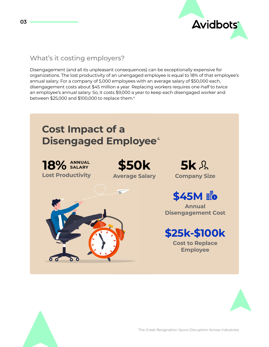

## What's it costing employers?

Disengagement (and all its unpleasant consequences) can be exceptionally expensive for organizations. The lost productivity of an unengaged employee is equal to 18% of that employee's annual salary. For a company of 5,000 employees with an average salary of \$50,000 each, disengagement costs about \$45 million a year. Replacing workers requires one-half to twice an employee's annual salary. So, it costs \$9,000 a year to keep each disengaged worker and between \$25,000 and \$100,000 to replace them.4



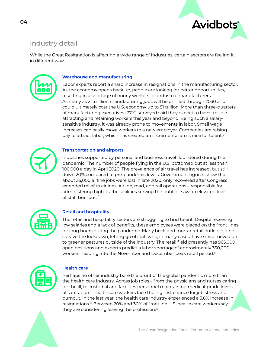

## Industry detail

While the Great Resignation is affecting a wide range of industries, certain sectors are feeling it in different ways:



#### **Warehouse and manufacturing**

Labor experts report a sharp increase in resignations in the manufacturing sector. As the economy opens back up, people are looking for better opportunities, resulting in a shortage of hourly workers for industrial manufacturers. As many as 2.1 million manufacturing jobs will be unfilled through 2030 and could ultimately cost the U.S. economy up to \$1 trillion. More than three-quarters of manufacturing executives (77%) surveyed said they expect to have trouble attracting and retaining workers this year and beyond. Being such a salarysensitive industry, it was already prone to movements in labor. Small wage increases can easily move workers to a new employer. Companies are raising pay to attract labor, which has created an incremental arms race for talent.9



#### **Transportation and airports**

Industries supported by personal and business travel floundered during the pandemic. The number of people flying in the U.S. bottomed out at less than 100,000 a day in April 2020. The prevalence of air travel has increased, but still down 20% compared to pre-pandemic levels. Government figures show that about 35,000 airline jobs were lost in late 2020, only recovered after Congress extended relief to airlines. Airline, road, and rail operations – responsible for administering high-traffic facilities serving the public – saw an elevated level of staff burnout.<sup>10</sup>



#### **Retail and hospitality**

The retail and hospitality sectors are struggling to find talent. Despite receiving low salaries and a lack of benefits, these employees were placed on the front lines for long hours during the pandemic. Many brick and mortar retail outlets did not survive the lockdown, letting go of staff who, in many cases, have since moved on to greener pastures outside of the industry. The retail field presently has 965,000 open positions and experts predict a labor shortage of approximately 350,000 workers heading into the November and December peak retail period.<sup>11</sup>



#### **Health care**

Perhaps no other industry bore the brunt of the global pandemic more than the health care industry. Across job roles – from the physicians and nurses caring for the ill, to custodial and facilities personnel maintaining medical-grade levels of sanitation – health care workers face the highest chance for job stress and burnout. In the last year, the health care industry experienced a 3.6% increase in resignations.<sup>12</sup> Between 20% and 30% of frontline U.S. health care workers say they are considering leaving the profession.12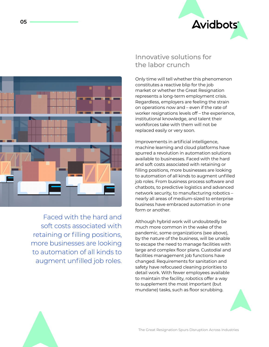



Faced with the hard and soft costs associated with retaining or filling positions, more businesses are looking to automation of all kinds to augment unfilled job roles.

## Innovative solutions for the labor crunch

Only time will tell whether this phenomenon constitutes a reactive blip for the job market or whether the Great Resignation represents a long-term employment crisis. Regardless, employers are feeling the strain on operations now and – even if the rate of worker resignations levels off – the experience, institutional knowledge, and talent their workforces take with them will not be replaced easily or very soon.

Improvements in artificial intelligence, machine learning and cloud platforms have spurred a revolution in automation solutions available to businesses. Faced with the hard and soft costs associated with retaining or filling positions, more businesses are looking to automation of all kinds to augment unfilled job roles. From business process software and chatbots, to predictive logistics and advanced network security, to manufacturing robotics – nearly all areas of medium-sized to enterprise business have embraced automation in one form or another.

Although hybrid work will undoubtedly be much more common in the wake of the pandemic, some organizations (see above), by the nature of the business, will be unable to escape the need to manage facilities with large and complex floor plans. Custodial and facilities management job functions have changed. Requirements for sanitation and safety have refocused cleaning priorities to detail work. With fewer employees available to maintain the facility, robotics offer a way to supplement the most important (but mundane) tasks, such as floor scrubbing.

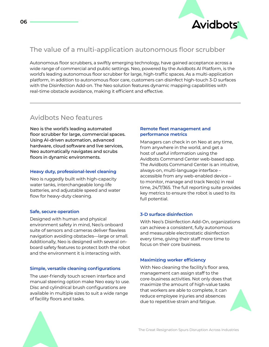

## The value of a multi-application autonomous floor scrubber

Autonomous floor scrubbers, a swiftly emerging technology, have gained acceptance across a wide range of commercial and public settings. Neo, powered by the Avidbots AI Platform, is the world's leading autonomous floor scrubber for large, high-traffic spaces. As a multi-application platform, in addition to autonomous floor care, customers can disinfect high-touch 3-D surfaces with the Disinfection Add-on. The Neo solution features dynamic mapping capabilities with real-time obstacle avoidance, making it efficient and effective.

## Avidbots Neo features

Neo is the world's leading automated floor scrubber for large, commercial spaces. Using AI-driven automation, advanced hardware, cloud software and live services, Neo automatically navigates and scrubs floors in dynamic environments.

#### **Heavy duty, professional-level cleaning**

Neo is ruggedly built with high-capacity water tanks, interchangeable long-life batteries, and adjustable speed and water flow for heavy-duty cleaning.

#### **Safe, secure operation**

Designed with human and physical environment safety in mind, Neo's onboard suite of sensors and cameras deliver flawless navigation avoiding obstacles—large or small. Additionally, Neo is designed with several onboard safety features to protect both the robot and the environment it is interacting with.

#### **Simple, versatile cleaning configurations**

The user-friendly touch screen interface and manual steering option make Neo easy to use. Disc and cylindrical brush configurations are available in multiple sizes to suit a wide range of facility floors and tasks.

#### **Remote fleet management and performance metrics**

Managers can check in on Neo at any time, from anywhere in the world, and get a host of useful information using the Avidbots Command Center web-based app. The Avidbots Command Center is an intuitive, always-on, multi-language interface – accessible from any web-enabled device – to monitor, manage and track Neo(s) in real time, 24/7/365. The full reporting suite provides key metrics to ensure the robot is used to its full potential.

#### **3-D surface disinfection**

With Neo's Disinfection Add-On, organizations can achieve a consistent, fully autonomous and measurable electrostatic disinfection every time, giving their staff more time to focus on their core business.

#### **Maximizing worker efficiency**

With Neo cleaning the facility's floor area, management can assign staff to the core-business activities. Not only does that maximize the amount of high-value tasks that workers are able to complete, it can reduce employee injuries and absences due to repetitive strain and fatigue.

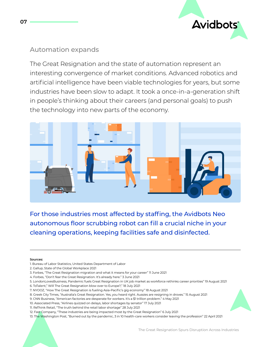

## Automation expands

The Great Resignation and the state of automation represent an interesting convergence of market conditions. Advanced robotics and artificial intelligence have been viable technologies for years, but some industries have been slow to adapt. It took a once-in-a-generation shift in people's thinking about their careers (and personal goals) to push the technology into new parts of the economy.



For those industries most affected by staffing, the Avidbots Neo autonomous floor scrubbing robot can fill a crucial niche in your cleaning operations, keeping facilities safe and disinfected.

#### **Sources:**

- 1. Bureau of Labor Statistics, United States Department of Labor
- 2. Gallup, State of the Global Workplace 2021
- 3. Forbes, "The Great Resignation migration and what it means for your career" 11 June 2021
- 4. Forbes, "Don't fear the Great Resignation. It's already here." 3 June 2021
- 5. LondonLovesBusiness, Pandemic fuels Great Resignation in UK job market as workforce rethinks career priorities" 19 August 2021
- 6. ToTalent," Will The Great Resignation blow over to Europe?," 18 July 2021
- 7. NYOOZ, "How The Great Resignation is fueling Asia-Pacific's gig economy" 18 August 2021
- 8. Greek City Times, "Australia's Great Resignation. Yes, you heard right. Aussies are resigning in droves." 15 August 2021
- 9. CNN Business, "American factories are desperate for workers. It's a \$1 trillion problem." 4 May 2021
- 10. Associated Press, "Airlines quizzed on delays, labor shortages by senator" 17 July 2021
- 11. ReThink Retail, "The truth behind the retail labor shortage" 28 July 2021
- 12. Fast Company, "These industries are being impacted most by the Great Resignation" 6 July 2021
- 13. The Washington Post, "Burned out by the pandemic, 3 in 10 health-care workers consider leaving the profession" 22 April 2021